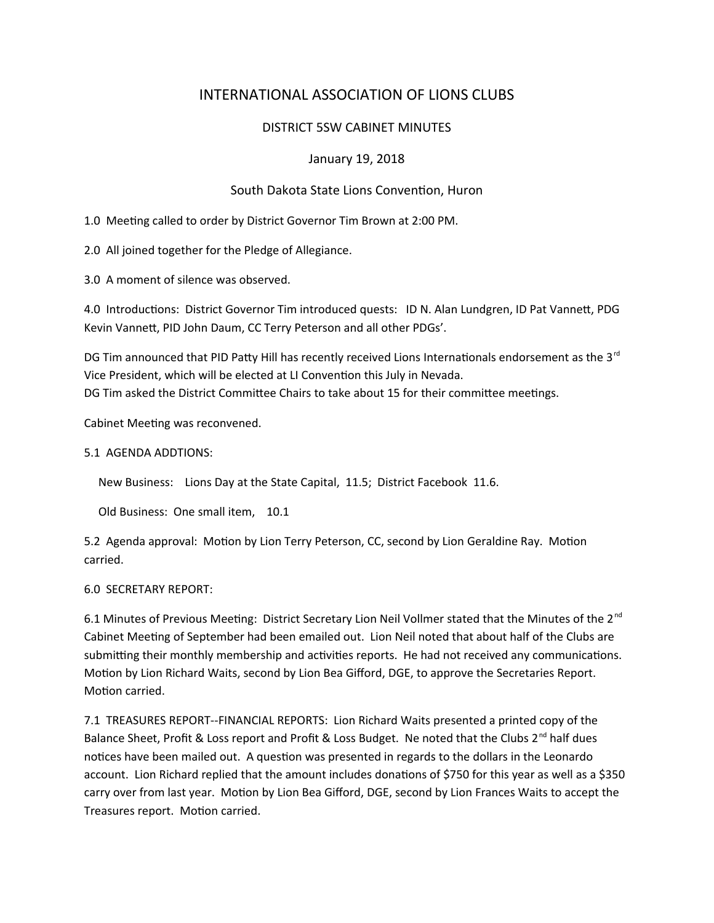# INTERNATIONAL ASSOCIATION OF LIONS CLUBS

## DISTRICT 5SW CABINET MINUTES

## January 19, 2018

## South Dakota State Lions Convention, Huron

1.0 Meeting called to order by District Governor Tim Brown at 2:00 PM.

2.0 All joined together for the Pledge of Allegiance.

3.0 A moment of silence was observed.

4.0 Introductions: District Governor Tim introduced quests: ID N. Alan Lundgren, ID Pat Vannett, PDG Kevin Vannet, PID John Daum, CC Terry Peterson and all other PDGs'.

DG Tim announced that PID Patty Hill has recently received Lions Internationals endorsement as the 3<sup>rd</sup> Vice President, which will be elected at LI Convention this July in Nevada. DG Tim asked the District Committee Chairs to take about 15 for their committee meetings.

Cabinet Meeting was reconvened.

## 5.1 AGENDA ADDTIONS:

New Business: Lions Day at the State Capital, 11.5; District Facebook 11.6.

Old Business: One small item, 10.1

5.2 Agenda approval: Motion by Lion Terry Peterson, CC, second by Lion Geraldine Ray. Motion carried.

6.0 SECRETARY REPORT:

6.1 Minutes of Previous Meeting: District Secretary Lion Neil Vollmer stated that the Minutes of the  $2<sup>nd</sup>$ Cabinet Meeting of September had been emailed out. Lion Neil noted that about half of the Clubs are submitting their monthly membership and activities reports. He had not received any communications. Motion by Lion Richard Waits, second by Lion Bea Gifford, DGE, to approve the Secretaries Report. Motion carried.

7.1 TREASURES REPORT--FINANCIAL REPORTS: Lion Richard Waits presented a printed copy of the Balance Sheet, Profit & Loss report and Profit & Loss Budget. Ne noted that the Clubs  $2^{nd}$  half dues notices have been mailed out. A question was presented in regards to the dollars in the Leonardo account. Lion Richard replied that the amount includes donations of \$750 for this year as well as a \$350 carry over from last year. Motion by Lion Bea Gifford, DGE, second by Lion Frances Waits to accept the Treasures report. Motion carried.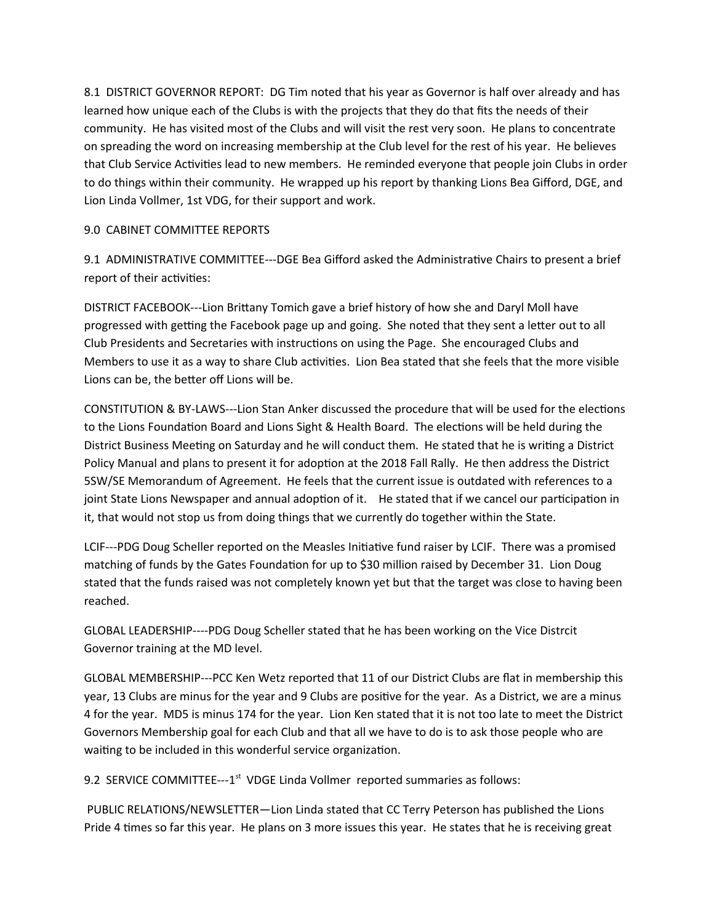8.1 DISTRICT GOVERNOR REPORT: DG Tim noted that his year as Governor is half over already and has learned how unique each of the Clubs is with the projects that they do that fits the needs of their community. He has visited most of the Clubs and will visit the rest very soon. He plans to concentrate on spreading the word on increasing membership at the Club level for the rest of his year. He believes that Club Service Activities lead to new members. He reminded everyone that people join Clubs in order to do things within their community. He wrapped up his report by thanking Lions Bea Gifford, DGE, and Lion Linda Vollmer, 1st VDG, for their support and work.

## 9.0 CABINET COMMITTEE REPORTS

9.1 ADMINISTRATIVE COMMITTEE---DGE Bea Gifford asked the Administrative Chairs to present a brief report of their activities:

DISTRICT FACEBOOK---Lion Brittany Tomich gave a brief history of how she and Daryl Moll have progressed with getting the Facebook page up and going. She noted that they sent a letter out to all Club Presidents and Secretaries with instructions on using the Page. She encouraged Clubs and Members to use it as a way to share Club activities. Lion Bea stated that she feels that the more visible Lions can be, the better off Lions will be.

CONSTITUTION & BY-LAWS---Lion Stan Anker discussed the procedure that will be used for the elections to the Lions Foundation Board and Lions Sight & Health Board. The elections will be held during the District Business Meeting on Saturday and he will conduct them. He stated that he is writing a District Policy Manual and plans to present it for adoption at the 2018 Fall Rally. He then address the District 5SW/SE Memorandum of Agreement. He feels that the current issue is outdated with references to a joint State Lions Newspaper and annual adoption of it. He stated that if we cancel our participation in it, that would not stop us from doing things that we currently do together within the State.

LCIF---PDG Doug Scheller reported on the Measles Initiative fund raiser by LCIF. There was a promised matching of funds by the Gates Foundation for up to \$30 million raised by December 31. Lion Doug stated that the funds raised was not completely known yet but that the target was close to having been reached.

GLOBAL LEADERSHIP----PDG Doug Scheller stated that he has been working on the Vice Distrcit Governor training at the MD level.

GLOBAL MEMBERSHIP---PCC Ken Wetz reported that 11 of our District Clubs are flat in membership this year, 13 Clubs are minus for the year and 9 Clubs are positive for the year. As a District, we are a minus 4 for the year. MD5 is minus 174 for the year. Lion Ken stated that it is not too late to meet the District Governors Membership goal for each Club and that all we have to do is to ask those people who are waiting to be included in this wonderful service organization.

9.2 SERVICE COMMITTEE---1<sup>st</sup> VDGE Linda Vollmer reported summaries as follows:

PUBLIC RELATIONS/NEWSLETTER-Lion Linda stated that CC Terry Peterson has published the Lions Pride 4 times so far this year. He plans on 3 more issues this year. He states that he is receiving great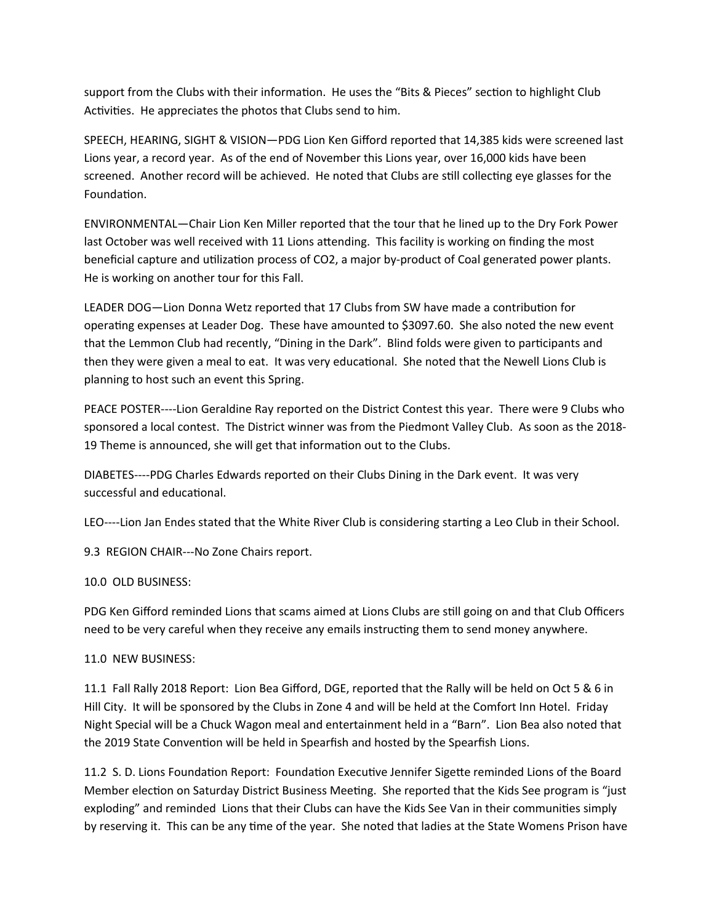support from the Clubs with their information. He uses the "Bits & Pieces" section to highlight Club Activities. He appreciates the photos that Clubs send to him.

SPEECH, HEARING, SIGHT & VISION-PDG Lion Ken Gifford reported that 14,385 kids were screened last Lions year, a record year. As of the end of November this Lions year, over 16,000 kids have been screened. Another record will be achieved. He noted that Clubs are still collecting eye glasses for the Foundation.

ENVIRONMENTAL—Chair Lion Ken Miller reported that the tour that he lined up to the Dry Fork Power last October was well received with 11 Lions attending. This facility is working on finding the most beneficial capture and utilization process of CO2, a major by-product of Coal generated power plants. He is working on another tour for this Fall.

LEADER DOG-Lion Donna Wetz reported that 17 Clubs from SW have made a contribution for operating expenses at Leader Dog. These have amounted to \$3097.60. She also noted the new event that the Lemmon Club had recently, "Dining in the Dark". Blind folds were given to participants and then they were given a meal to eat. It was very educational. She noted that the Newell Lions Club is planning to host such an event this Spring.

PEACE POSTER----Lion Geraldine Ray reported on the District Contest this year. There were 9 Clubs who sponsored a local contest. The District winner was from the Piedmont Valley Club. As soon as the 2018-19 Theme is announced, she will get that information out to the Clubs.

DIABETES----PDG Charles Edwards reported on their Clubs Dining in the Dark event. It was very successful and educational.

LEO----Lion Jan Endes stated that the White River Club is considering starting a Leo Club in their School.

9.3 REGION CHAIR---No Zone Chairs report.

10.0 OLD BUSINESS:

PDG Ken Gifford reminded Lions that scams aimed at Lions Clubs are still going on and that Club Officers need to be very careful when they receive any emails instructing them to send money anywhere.

11.0 NEW BUSINESS:

11.1 Fall Rally 2018 Report: Lion Bea Gifford, DGE, reported that the Rally will be held on Oct 5 & 6 in Hill City. It will be sponsored by the Clubs in Zone 4 and will be held at the Comfort Inn Hotel. Friday Night Special will be a Chuck Wagon meal and entertainment held in a "Barn". Lion Bea also noted that the 2019 State Convention will be held in Spearfish and hosted by the Spearfish Lions.

11.2 S. D. Lions Foundation Report: Foundation Executive Jennifer Sigette reminded Lions of the Board Member election on Saturday District Business Meeting. She reported that the Kids See program is "just exploding" and reminded Lions that their Clubs can have the Kids See Van in their communities simply by reserving it. This can be any time of the year. She noted that ladies at the State Womens Prison have